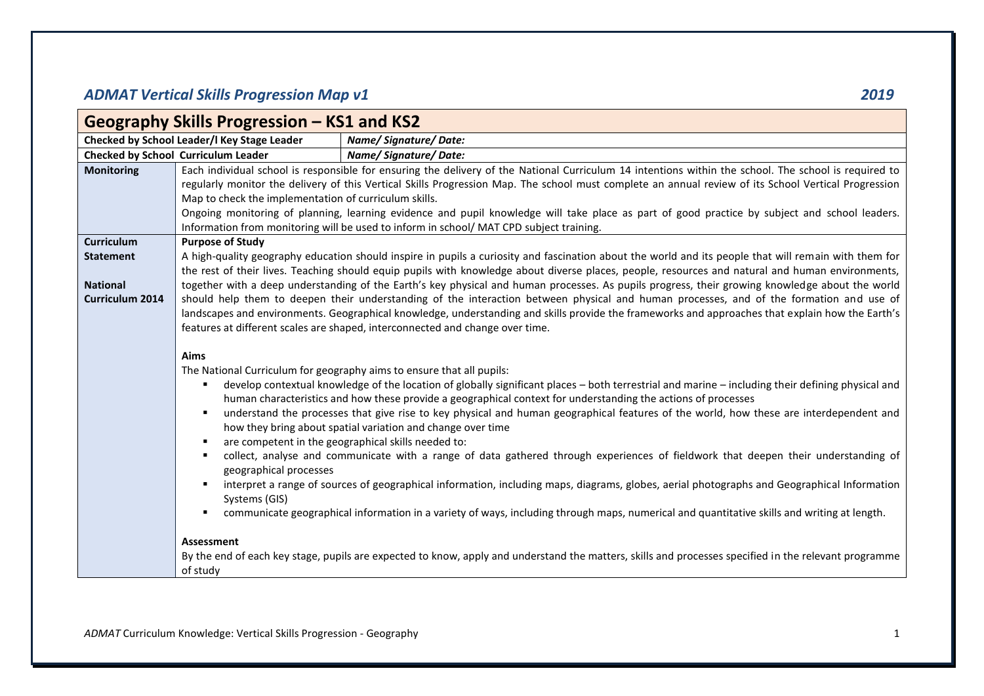## *ADMAT Vertical Skills Progression Map v1 2019*

|                        | Geography Skills Progression - KS1 and KS2            |                                                                                                                                                                                                                                                                                                           |
|------------------------|-------------------------------------------------------|-----------------------------------------------------------------------------------------------------------------------------------------------------------------------------------------------------------------------------------------------------------------------------------------------------------|
|                        | Checked by School Leader/I Key Stage Leader           | Name/Signature/Date:                                                                                                                                                                                                                                                                                      |
|                        | <b>Checked by School Curriculum Leader</b>            | Name/Signature/Date:                                                                                                                                                                                                                                                                                      |
| <b>Monitoring</b>      |                                                       | Each individual school is responsible for ensuring the delivery of the National Curriculum 14 intentions within the school. The school is required to                                                                                                                                                     |
|                        |                                                       | regularly monitor the delivery of this Vertical Skills Progression Map. The school must complete an annual review of its School Vertical Progression                                                                                                                                                      |
|                        | Map to check the implementation of curriculum skills. |                                                                                                                                                                                                                                                                                                           |
|                        |                                                       | Ongoing monitoring of planning, learning evidence and pupil knowledge will take place as part of good practice by subject and school leaders.                                                                                                                                                             |
|                        |                                                       | Information from monitoring will be used to inform in school/MAT CPD subject training.                                                                                                                                                                                                                    |
| Curriculum             | <b>Purpose of Study</b>                               |                                                                                                                                                                                                                                                                                                           |
| <b>Statement</b>       |                                                       | A high-quality geography education should inspire in pupils a curiosity and fascination about the world and its people that will remain with them for<br>the rest of their lives. Teaching should equip pupils with knowledge about diverse places, people, resources and natural and human environments, |
| <b>National</b>        |                                                       | together with a deep understanding of the Earth's key physical and human processes. As pupils progress, their growing knowledge about the world                                                                                                                                                           |
| <b>Curriculum 2014</b> |                                                       | should help them to deepen their understanding of the interaction between physical and human processes, and of the formation and use of                                                                                                                                                                   |
|                        |                                                       | landscapes and environments. Geographical knowledge, understanding and skills provide the frameworks and approaches that explain how the Earth's                                                                                                                                                          |
|                        |                                                       | features at different scales are shaped, interconnected and change over time.                                                                                                                                                                                                                             |
|                        |                                                       |                                                                                                                                                                                                                                                                                                           |
|                        | Aims                                                  |                                                                                                                                                                                                                                                                                                           |
|                        |                                                       | The National Curriculum for geography aims to ensure that all pupils:                                                                                                                                                                                                                                     |
|                        | ٠                                                     | develop contextual knowledge of the location of globally significant places – both terrestrial and marine – including their defining physical and                                                                                                                                                         |
|                        | ٠                                                     | human characteristics and how these provide a geographical context for understanding the actions of processes<br>understand the processes that give rise to key physical and human geographical features of the world, how these are interdependent and                                                   |
|                        |                                                       | how they bring about spatial variation and change over time                                                                                                                                                                                                                                               |
|                        | ٠                                                     | are competent in the geographical skills needed to:                                                                                                                                                                                                                                                       |
|                        | ٠                                                     | collect, analyse and communicate with a range of data gathered through experiences of fieldwork that deepen their understanding of                                                                                                                                                                        |
|                        | geographical processes                                |                                                                                                                                                                                                                                                                                                           |
|                        | $\blacksquare$                                        | interpret a range of sources of geographical information, including maps, diagrams, globes, aerial photographs and Geographical Information                                                                                                                                                               |
|                        | Systems (GIS)                                         |                                                                                                                                                                                                                                                                                                           |
|                        |                                                       | communicate geographical information in a variety of ways, including through maps, numerical and quantitative skills and writing at length.                                                                                                                                                               |
|                        | Assessment                                            |                                                                                                                                                                                                                                                                                                           |
|                        |                                                       | By the end of each key stage, pupils are expected to know, apply and understand the matters, skills and processes specified in the relevant programme                                                                                                                                                     |
|                        | of study                                              |                                                                                                                                                                                                                                                                                                           |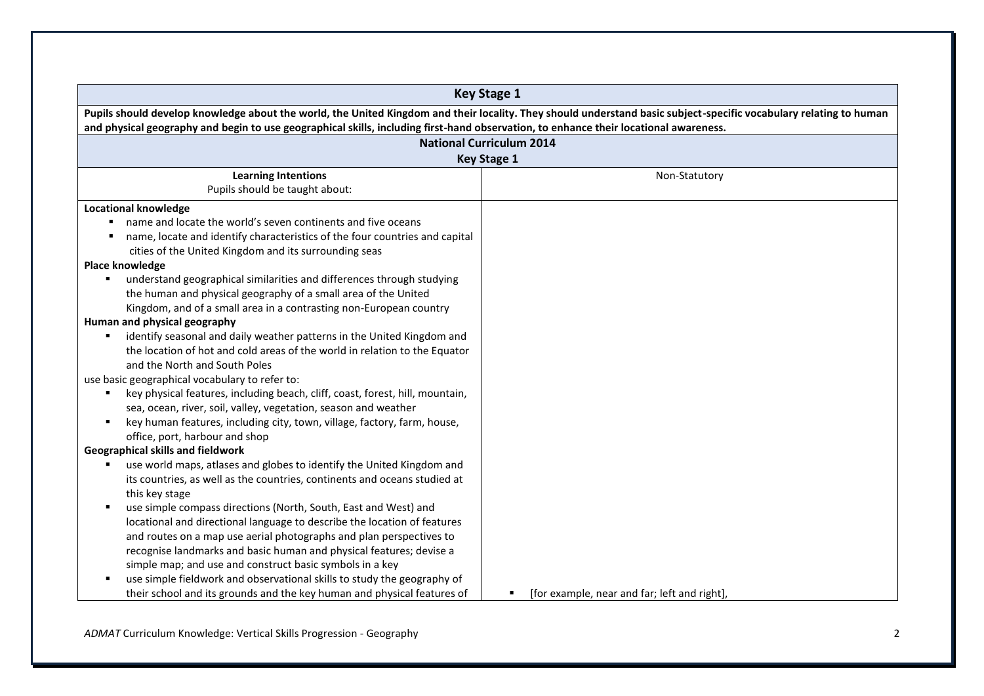|                                                                                                                                                                                                                                                                                                             | <b>Key Stage 1</b>                                             |  |  |  |  |
|-------------------------------------------------------------------------------------------------------------------------------------------------------------------------------------------------------------------------------------------------------------------------------------------------------------|----------------------------------------------------------------|--|--|--|--|
| Pupils should develop knowledge about the world, the United Kingdom and their locality. They should understand basic subject-specific vocabulary relating to human<br>and physical geography and begin to use geographical skills, including first-hand observation, to enhance their locational awareness. |                                                                |  |  |  |  |
|                                                                                                                                                                                                                                                                                                             | <b>National Curriculum 2014</b>                                |  |  |  |  |
|                                                                                                                                                                                                                                                                                                             | <b>Key Stage 1</b>                                             |  |  |  |  |
| <b>Learning Intentions</b><br>Pupils should be taught about:                                                                                                                                                                                                                                                | Non-Statutory                                                  |  |  |  |  |
| <b>Locational knowledge</b>                                                                                                                                                                                                                                                                                 |                                                                |  |  |  |  |
| name and locate the world's seven continents and five oceans                                                                                                                                                                                                                                                |                                                                |  |  |  |  |
| name, locate and identify characteristics of the four countries and capital                                                                                                                                                                                                                                 |                                                                |  |  |  |  |
| cities of the United Kingdom and its surrounding seas                                                                                                                                                                                                                                                       |                                                                |  |  |  |  |
| Place knowledge                                                                                                                                                                                                                                                                                             |                                                                |  |  |  |  |
| understand geographical similarities and differences through studying<br>٠                                                                                                                                                                                                                                  |                                                                |  |  |  |  |
| the human and physical geography of a small area of the United                                                                                                                                                                                                                                              |                                                                |  |  |  |  |
| Kingdom, and of a small area in a contrasting non-European country                                                                                                                                                                                                                                          |                                                                |  |  |  |  |
| Human and physical geography                                                                                                                                                                                                                                                                                |                                                                |  |  |  |  |
| identify seasonal and daily weather patterns in the United Kingdom and                                                                                                                                                                                                                                      |                                                                |  |  |  |  |
| the location of hot and cold areas of the world in relation to the Equator                                                                                                                                                                                                                                  |                                                                |  |  |  |  |
| and the North and South Poles                                                                                                                                                                                                                                                                               |                                                                |  |  |  |  |
| use basic geographical vocabulary to refer to:                                                                                                                                                                                                                                                              |                                                                |  |  |  |  |
| key physical features, including beach, cliff, coast, forest, hill, mountain,                                                                                                                                                                                                                               |                                                                |  |  |  |  |
| sea, ocean, river, soil, valley, vegetation, season and weather                                                                                                                                                                                                                                             |                                                                |  |  |  |  |
| key human features, including city, town, village, factory, farm, house,<br>$\blacksquare$                                                                                                                                                                                                                  |                                                                |  |  |  |  |
| office, port, harbour and shop                                                                                                                                                                                                                                                                              |                                                                |  |  |  |  |
| <b>Geographical skills and fieldwork</b>                                                                                                                                                                                                                                                                    |                                                                |  |  |  |  |
| use world maps, atlases and globes to identify the United Kingdom and                                                                                                                                                                                                                                       |                                                                |  |  |  |  |
| its countries, as well as the countries, continents and oceans studied at                                                                                                                                                                                                                                   |                                                                |  |  |  |  |
| this key stage                                                                                                                                                                                                                                                                                              |                                                                |  |  |  |  |
| use simple compass directions (North, South, East and West) and                                                                                                                                                                                                                                             |                                                                |  |  |  |  |
| locational and directional language to describe the location of features                                                                                                                                                                                                                                    |                                                                |  |  |  |  |
| and routes on a map use aerial photographs and plan perspectives to                                                                                                                                                                                                                                         |                                                                |  |  |  |  |
| recognise landmarks and basic human and physical features; devise a                                                                                                                                                                                                                                         |                                                                |  |  |  |  |
| simple map; and use and construct basic symbols in a key                                                                                                                                                                                                                                                    |                                                                |  |  |  |  |
| use simple fieldwork and observational skills to study the geography of                                                                                                                                                                                                                                     |                                                                |  |  |  |  |
| their school and its grounds and the key human and physical features of                                                                                                                                                                                                                                     | [for example, near and far; left and right],<br>$\blacksquare$ |  |  |  |  |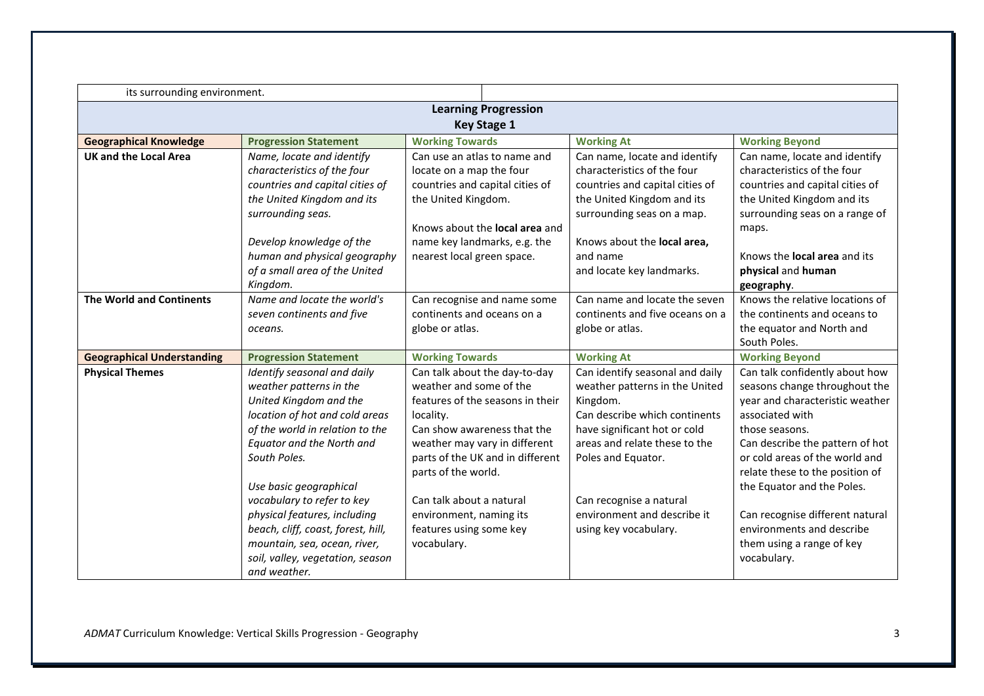| its surrounding environment.      |                                                                                                      |                                       |                                 |                                 |  |  |
|-----------------------------------|------------------------------------------------------------------------------------------------------|---------------------------------------|---------------------------------|---------------------------------|--|--|
|                                   | <b>Learning Progression</b>                                                                          |                                       |                                 |                                 |  |  |
|                                   |                                                                                                      | <b>Key Stage 1</b>                    |                                 |                                 |  |  |
| <b>Geographical Knowledge</b>     | <b>Progression Statement</b><br><b>Working Towards</b><br><b>Working At</b><br><b>Working Beyond</b> |                                       |                                 |                                 |  |  |
| <b>UK and the Local Area</b>      | Name, locate and identify                                                                            | Can use an atlas to name and          | Can name, locate and identify   | Can name, locate and identify   |  |  |
|                                   | characteristics of the four                                                                          | locate on a map the four              | characteristics of the four     | characteristics of the four     |  |  |
|                                   | countries and capital cities of                                                                      | countries and capital cities of       | countries and capital cities of | countries and capital cities of |  |  |
|                                   | the United Kingdom and its                                                                           | the United Kingdom.                   | the United Kingdom and its      | the United Kingdom and its      |  |  |
|                                   | surrounding seas.                                                                                    |                                       | surrounding seas on a map.      | surrounding seas on a range of  |  |  |
|                                   |                                                                                                      | Knows about the <b>local area</b> and |                                 | maps.                           |  |  |
|                                   | Develop knowledge of the                                                                             | name key landmarks, e.g. the          | Knows about the local area,     |                                 |  |  |
|                                   | human and physical geography                                                                         | nearest local green space.            | and name                        | Knows the local area and its    |  |  |
|                                   | of a small area of the United                                                                        |                                       | and locate key landmarks.       | physical and human              |  |  |
|                                   | Kingdom.                                                                                             |                                       |                                 | geography.                      |  |  |
| <b>The World and Continents</b>   | Name and locate the world's                                                                          | Can recognise and name some           | Can name and locate the seven   | Knows the relative locations of |  |  |
|                                   | seven continents and five                                                                            | continents and oceans on a            | continents and five oceans on a | the continents and oceans to    |  |  |
|                                   | oceans.                                                                                              | globe or atlas.                       | globe or atlas.                 | the equator and North and       |  |  |
|                                   |                                                                                                      |                                       |                                 | South Poles.                    |  |  |
| <b>Geographical Understanding</b> | <b>Progression Statement</b>                                                                         | <b>Working Towards</b>                | <b>Working At</b>               | <b>Working Beyond</b>           |  |  |
| <b>Physical Themes</b>            | Identify seasonal and daily                                                                          | Can talk about the day-to-day         | Can identify seasonal and daily | Can talk confidently about how  |  |  |
|                                   | weather patterns in the                                                                              | weather and some of the               | weather patterns in the United  | seasons change throughout the   |  |  |
|                                   | United Kingdom and the                                                                               | features of the seasons in their      | Kingdom.                        | year and characteristic weather |  |  |
|                                   | location of hot and cold areas                                                                       | locality.                             | Can describe which continents   | associated with                 |  |  |
|                                   | of the world in relation to the                                                                      | Can show awareness that the           | have significant hot or cold    | those seasons.                  |  |  |
|                                   | Equator and the North and                                                                            | weather may vary in different         | areas and relate these to the   | Can describe the pattern of hot |  |  |
|                                   | South Poles.                                                                                         | parts of the UK and in different      | Poles and Equator.              | or cold areas of the world and  |  |  |
|                                   |                                                                                                      | parts of the world.                   |                                 | relate these to the position of |  |  |
|                                   | Use basic geographical                                                                               |                                       |                                 | the Equator and the Poles.      |  |  |
|                                   | vocabulary to refer to key                                                                           | Can talk about a natural              | Can recognise a natural         |                                 |  |  |
|                                   | physical features, including                                                                         | environment, naming its               | environment and describe it     | Can recognise different natural |  |  |
|                                   | beach, cliff, coast, forest, hill,                                                                   | features using some key               | using key vocabulary.           | environments and describe       |  |  |
|                                   | mountain, sea, ocean, river,                                                                         | vocabulary.                           |                                 | them using a range of key       |  |  |
|                                   | soil, valley, vegetation, season                                                                     |                                       |                                 | vocabulary.                     |  |  |
|                                   | and weather.                                                                                         |                                       |                                 |                                 |  |  |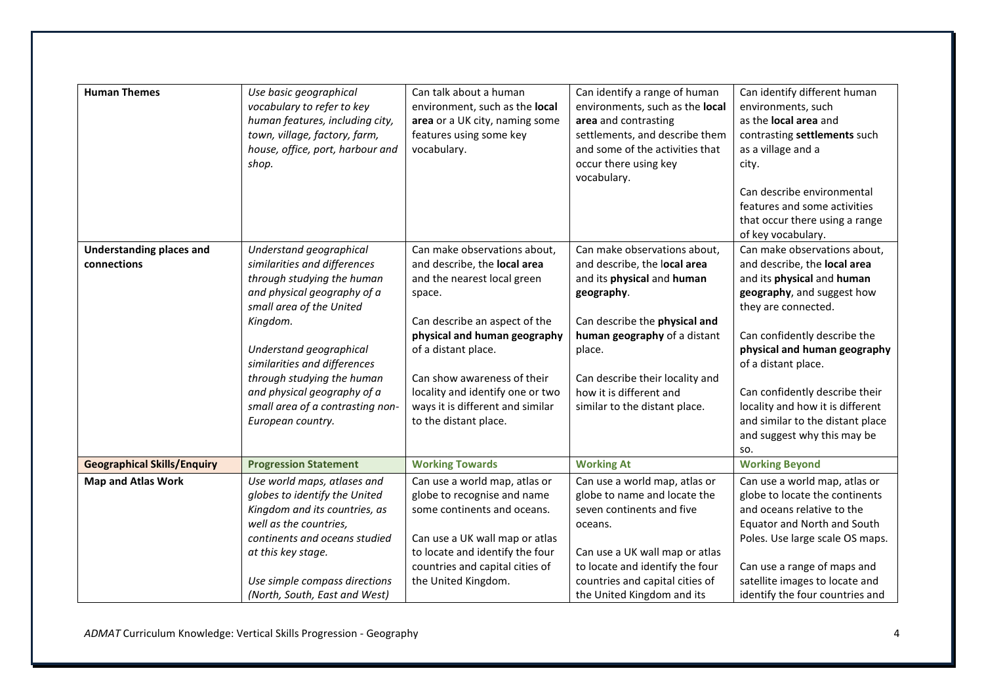| <b>Human Themes</b>                            | Use basic geographical<br>vocabulary to refer to key<br>human features, including city,<br>town, village, factory, farm,<br>house, office, port, harbour and<br>shop.                                                                                                                                                                         | Can talk about a human<br>environment, such as the local<br>area or a UK city, naming some<br>features using some key<br>vocabulary.                                                                                                                                                                                          | Can identify a range of human<br>environments, such as the local<br>area and contrasting<br>settlements, and describe them<br>and some of the activities that<br>occur there using key<br>vocabulary.                                                                              | Can identify different human<br>environments, such<br>as the <b>local area</b> and<br>contrasting settlements such<br>as a village and a<br>city.<br>Can describe environmental<br>features and some activities<br>that occur there using a range<br>of key vocabulary.                                                                                                                |
|------------------------------------------------|-----------------------------------------------------------------------------------------------------------------------------------------------------------------------------------------------------------------------------------------------------------------------------------------------------------------------------------------------|-------------------------------------------------------------------------------------------------------------------------------------------------------------------------------------------------------------------------------------------------------------------------------------------------------------------------------|------------------------------------------------------------------------------------------------------------------------------------------------------------------------------------------------------------------------------------------------------------------------------------|----------------------------------------------------------------------------------------------------------------------------------------------------------------------------------------------------------------------------------------------------------------------------------------------------------------------------------------------------------------------------------------|
| <b>Understanding places and</b><br>connections | Understand geographical<br>similarities and differences<br>through studying the human<br>and physical geography of a<br>small area of the United<br>Kingdom.<br>Understand geographical<br>similarities and differences<br>through studying the human<br>and physical geography of a<br>small area of a contrasting non-<br>European country. | Can make observations about,<br>and describe, the local area<br>and the nearest local green<br>space.<br>Can describe an aspect of the<br>physical and human geography<br>of a distant place.<br>Can show awareness of their<br>locality and identify one or two<br>ways it is different and similar<br>to the distant place. | Can make observations about,<br>and describe, the local area<br>and its physical and human<br>geography.<br>Can describe the physical and<br>human geography of a distant<br>place.<br>Can describe their locality and<br>how it is different and<br>similar to the distant place. | Can make observations about,<br>and describe, the local area<br>and its physical and human<br>geography, and suggest how<br>they are connected.<br>Can confidently describe the<br>physical and human geography<br>of a distant place.<br>Can confidently describe their<br>locality and how it is different<br>and similar to the distant place<br>and suggest why this may be<br>SO. |
| <b>Geographical Skills/Enquiry</b>             | <b>Progression Statement</b>                                                                                                                                                                                                                                                                                                                  | <b>Working Towards</b>                                                                                                                                                                                                                                                                                                        | <b>Working At</b>                                                                                                                                                                                                                                                                  | <b>Working Beyond</b>                                                                                                                                                                                                                                                                                                                                                                  |
| <b>Map and Atlas Work</b>                      | Use world maps, atlases and<br>globes to identify the United<br>Kingdom and its countries, as<br>well as the countries,<br>continents and oceans studied<br>at this key stage.<br>Use simple compass directions                                                                                                                               | Can use a world map, atlas or<br>globe to recognise and name<br>some continents and oceans.<br>Can use a UK wall map or atlas<br>to locate and identify the four<br>countries and capital cities of<br>the United Kingdom.                                                                                                    | Can use a world map, atlas or<br>globe to name and locate the<br>seven continents and five<br>oceans.<br>Can use a UK wall map or atlas<br>to locate and identify the four<br>countries and capital cities of                                                                      | Can use a world map, atlas or<br>globe to locate the continents<br>and oceans relative to the<br>Equator and North and South<br>Poles. Use large scale OS maps.<br>Can use a range of maps and<br>satellite images to locate and                                                                                                                                                       |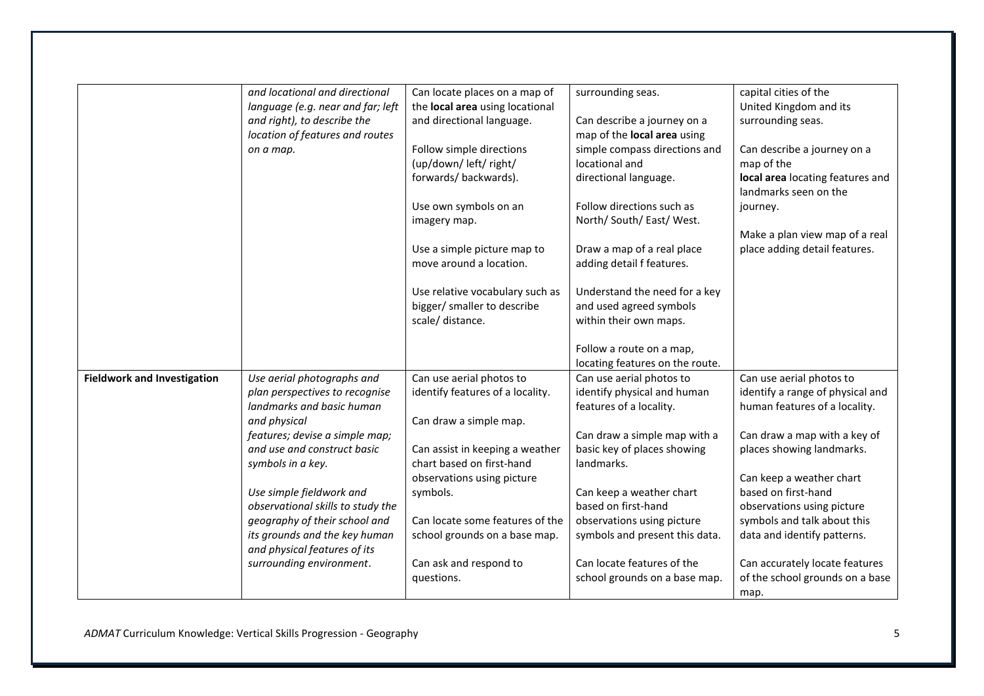|                                    | and locational and directional    | Can locate places on a map of    | surrounding seas.               | capital cities of the            |
|------------------------------------|-----------------------------------|----------------------------------|---------------------------------|----------------------------------|
|                                    | language (e.g. near and far; left | the local area using locational  |                                 | United Kingdom and its           |
|                                    | and right), to describe the       | and directional language.        | Can describe a journey on a     | surrounding seas.                |
|                                    | location of features and routes   |                                  | map of the local area using     |                                  |
|                                    | on a map.                         | Follow simple directions         | simple compass directions and   | Can describe a journey on a      |
|                                    |                                   | (up/down/left/right/             | locational and                  | map of the                       |
|                                    |                                   | forwards/backwards).             | directional language.           | local area locating features and |
|                                    |                                   |                                  |                                 | landmarks seen on the            |
|                                    |                                   | Use own symbols on an            | Follow directions such as       | journey.                         |
|                                    |                                   | imagery map.                     | North/ South/ East/ West.       |                                  |
|                                    |                                   |                                  |                                 | Make a plan view map of a real   |
|                                    |                                   |                                  |                                 |                                  |
|                                    |                                   | Use a simple picture map to      | Draw a map of a real place      | place adding detail features.    |
|                                    |                                   | move around a location.          | adding detail f features.       |                                  |
|                                    |                                   | Use relative vocabulary such as  | Understand the need for a key   |                                  |
|                                    |                                   | bigger/ smaller to describe      | and used agreed symbols         |                                  |
|                                    |                                   | scale/ distance.                 | within their own maps.          |                                  |
|                                    |                                   |                                  |                                 |                                  |
|                                    |                                   |                                  | Follow a route on a map,        |                                  |
|                                    |                                   |                                  | locating features on the route. |                                  |
| <b>Fieldwork and Investigation</b> | Use aerial photographs and        | Can use aerial photos to         | Can use aerial photos to        | Can use aerial photos to         |
|                                    | plan perspectives to recognise    | identify features of a locality. | identify physical and human     | identify a range of physical and |
|                                    | landmarks and basic human         |                                  | features of a locality.         | human features of a locality.    |
|                                    | and physical                      | Can draw a simple map.           |                                 |                                  |
|                                    | features; devise a simple map;    |                                  | Can draw a simple map with a    | Can draw a map with a key of     |
|                                    | and use and construct basic       | Can assist in keeping a weather  | basic key of places showing     | places showing landmarks.        |
|                                    |                                   | chart based on first-hand        | landmarks.                      |                                  |
|                                    | symbols in a key.                 |                                  |                                 |                                  |
|                                    |                                   | observations using picture       |                                 | Can keep a weather chart         |
|                                    | Use simple fieldwork and          | symbols.                         | Can keep a weather chart        | based on first-hand              |
|                                    | observational skills to study the |                                  | based on first-hand             | observations using picture       |
|                                    | geography of their school and     | Can locate some features of the  | observations using picture      | symbols and talk about this      |
|                                    | its grounds and the key human     | school grounds on a base map.    | symbols and present this data.  | data and identify patterns.      |
|                                    |                                   |                                  |                                 |                                  |
|                                    | and physical features of its      |                                  |                                 |                                  |
|                                    | surrounding environment.          | Can ask and respond to           | Can locate features of the      | Can accurately locate features   |
|                                    |                                   | questions.                       | school grounds on a base map.   | of the school grounds on a base  |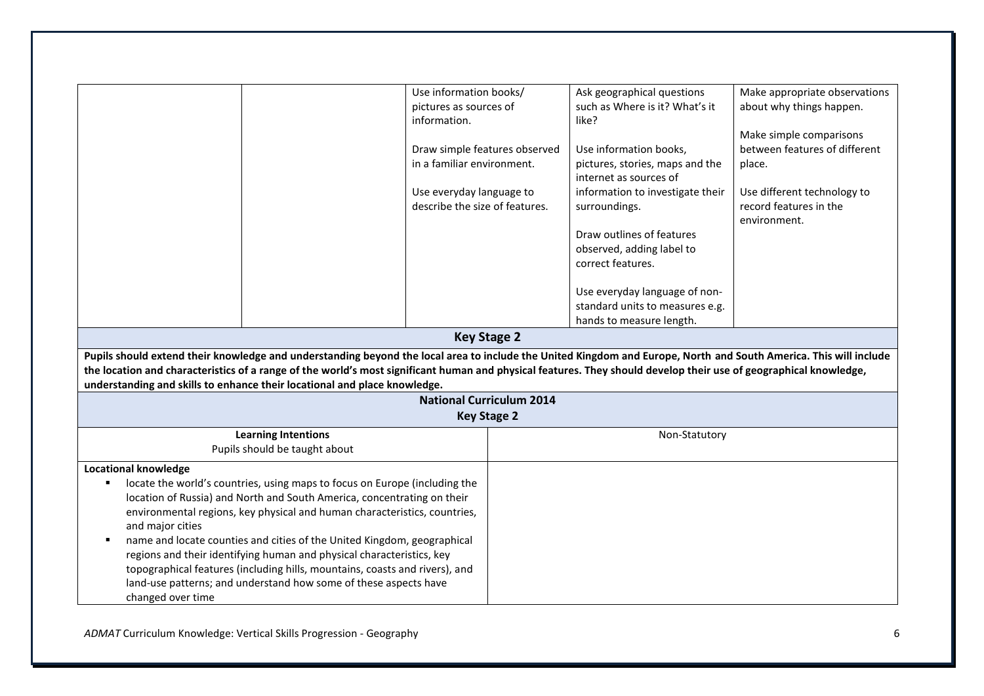|                                                                      | Use information books/<br>pictures as sources of<br>information.<br>in a familiar environment.<br>Use everyday language to<br>describe the size of features.<br>Pupils should extend their knowledge and understanding beyond the local area to include the United Kingdom and Europe, North and South America. This will include<br>the location and characteristics of a range of the world's most significant human and physical features. They should develop their use of geographical knowledge,<br>understanding and skills to enhance their locational and place knowledge. | Draw simple features observed<br><b>Key Stage 2</b><br><b>National Curriculum 2014</b><br><b>Key Stage 2</b> | Ask geographical questions<br>such as Where is it? What's it<br>like?<br>Use information books,<br>pictures, stories, maps and the<br>internet as sources of<br>information to investigate their<br>surroundings.<br>Draw outlines of features<br>observed, adding label to<br>correct features.<br>Use everyday language of non-<br>standard units to measures e.g.<br>hands to measure length. | Make appropriate observations<br>about why things happen.<br>Make simple comparisons<br>between features of different<br>place.<br>Use different technology to<br>record features in the<br>environment. |
|----------------------------------------------------------------------|-------------------------------------------------------------------------------------------------------------------------------------------------------------------------------------------------------------------------------------------------------------------------------------------------------------------------------------------------------------------------------------------------------------------------------------------------------------------------------------------------------------------------------------------------------------------------------------|--------------------------------------------------------------------------------------------------------------|--------------------------------------------------------------------------------------------------------------------------------------------------------------------------------------------------------------------------------------------------------------------------------------------------------------------------------------------------------------------------------------------------|----------------------------------------------------------------------------------------------------------------------------------------------------------------------------------------------------------|
|                                                                      | <b>Learning Intentions</b><br>Pupils should be taught about                                                                                                                                                                                                                                                                                                                                                                                                                                                                                                                         |                                                                                                              | Non-Statutory                                                                                                                                                                                                                                                                                                                                                                                    |                                                                                                                                                                                                          |
| <b>Locational knowledge</b><br>and major cities<br>changed over time | locate the world's countries, using maps to focus on Europe (including the<br>location of Russia) and North and South America, concentrating on their<br>environmental regions, key physical and human characteristics, countries,<br>name and locate counties and cities of the United Kingdom, geographical<br>regions and their identifying human and physical characteristics, key<br>topographical features (including hills, mountains, coasts and rivers), and<br>land-use patterns; and understand how some of these aspects have                                           |                                                                                                              |                                                                                                                                                                                                                                                                                                                                                                                                  |                                                                                                                                                                                                          |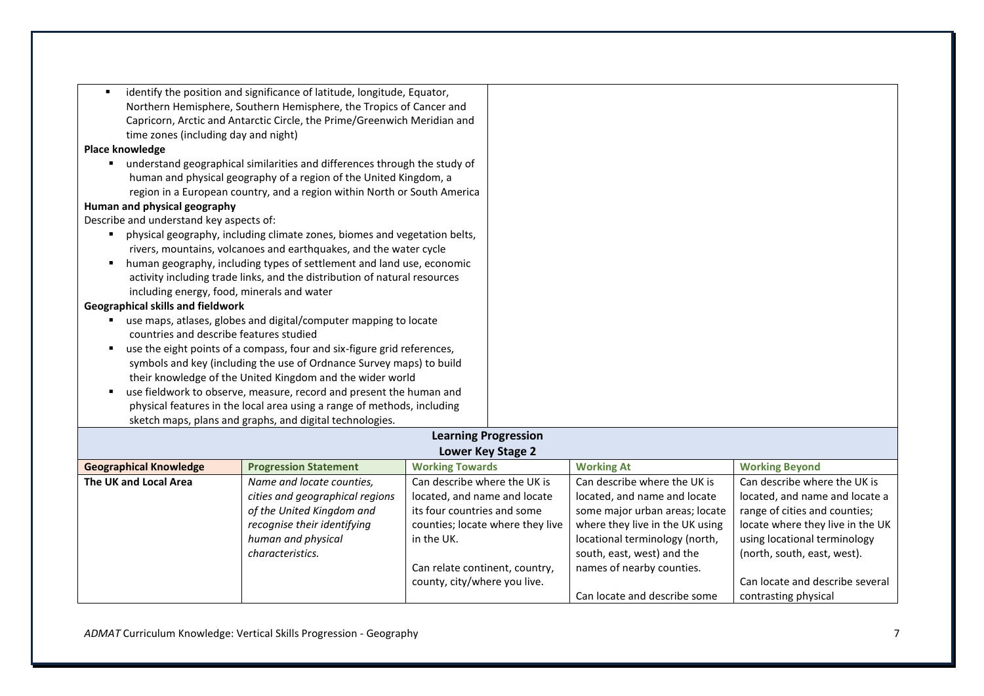|                                            | identify the position and significance of latitude, longitude, Equator,                                                                         |                                |                                  |                                 |                                  |
|--------------------------------------------|-------------------------------------------------------------------------------------------------------------------------------------------------|--------------------------------|----------------------------------|---------------------------------|----------------------------------|
|                                            | Northern Hemisphere, Southern Hemisphere, the Tropics of Cancer and<br>Capricorn, Arctic and Antarctic Circle, the Prime/Greenwich Meridian and |                                |                                  |                                 |                                  |
|                                            |                                                                                                                                                 |                                |                                  |                                 |                                  |
| time zones (including day and night)       |                                                                                                                                                 |                                |                                  |                                 |                                  |
| Place knowledge                            |                                                                                                                                                 |                                |                                  |                                 |                                  |
|                                            | " understand geographical similarities and differences through the study of                                                                     |                                |                                  |                                 |                                  |
|                                            | human and physical geography of a region of the United Kingdom, a                                                                               |                                |                                  |                                 |                                  |
|                                            | region in a European country, and a region within North or South America                                                                        |                                |                                  |                                 |                                  |
| Human and physical geography               |                                                                                                                                                 |                                |                                  |                                 |                                  |
| Describe and understand key aspects of:    |                                                                                                                                                 |                                |                                  |                                 |                                  |
|                                            | physical geography, including climate zones, biomes and vegetation belts,                                                                       |                                |                                  |                                 |                                  |
|                                            | rivers, mountains, volcanoes and earthquakes, and the water cycle                                                                               |                                |                                  |                                 |                                  |
|                                            | human geography, including types of settlement and land use, economic                                                                           |                                |                                  |                                 |                                  |
|                                            | activity including trade links, and the distribution of natural resources                                                                       |                                |                                  |                                 |                                  |
| including energy, food, minerals and water |                                                                                                                                                 |                                |                                  |                                 |                                  |
| <b>Geographical skills and fieldwork</b>   |                                                                                                                                                 |                                |                                  |                                 |                                  |
|                                            | use maps, atlases, globes and digital/computer mapping to locate                                                                                |                                |                                  |                                 |                                  |
| countries and describe features studied    |                                                                                                                                                 |                                |                                  |                                 |                                  |
|                                            | use the eight points of a compass, four and six-figure grid references,                                                                         |                                |                                  |                                 |                                  |
|                                            | symbols and key (including the use of Ordnance Survey maps) to build                                                                            |                                |                                  |                                 |                                  |
|                                            | their knowledge of the United Kingdom and the wider world                                                                                       |                                |                                  |                                 |                                  |
|                                            | use fieldwork to observe, measure, record and present the human and                                                                             |                                |                                  |                                 |                                  |
|                                            | physical features in the local area using a range of methods, including                                                                         |                                |                                  |                                 |                                  |
|                                            | sketch maps, plans and graphs, and digital technologies.                                                                                        |                                |                                  |                                 |                                  |
|                                            |                                                                                                                                                 |                                | <b>Learning Progression</b>      |                                 |                                  |
|                                            |                                                                                                                                                 |                                | Lower Key Stage 2                |                                 |                                  |
| <b>Geographical Knowledge</b>              | <b>Progression Statement</b>                                                                                                                    | <b>Working Towards</b>         |                                  | <b>Working At</b>               | <b>Working Beyond</b>            |
| The UK and Local Area                      | Name and locate counties,                                                                                                                       | Can describe where the UK is   |                                  | Can describe where the UK is    | Can describe where the UK is     |
|                                            | cities and geographical regions                                                                                                                 | located, and name and locate   |                                  | located, and name and locate    | located, and name and locate a   |
|                                            | of the United Kingdom and                                                                                                                       | its four countries and some    |                                  | some major urban areas; locate  | range of cities and counties;    |
| recognise their identifying                |                                                                                                                                                 |                                | counties; locate where they live | where they live in the UK using | locate where they live in the UK |
|                                            | human and physical                                                                                                                              | in the UK.                     |                                  | locational terminology (north,  | using locational terminology     |
|                                            | characteristics.                                                                                                                                |                                |                                  | south, east, west) and the      | (north, south, east, west).      |
|                                            |                                                                                                                                                 | Can relate continent, country, |                                  | names of nearby counties.       |                                  |
|                                            |                                                                                                                                                 | county, city/where you live.   |                                  |                                 | Can locate and describe several  |
|                                            |                                                                                                                                                 |                                |                                  | Can locate and describe some    | contrasting physical             |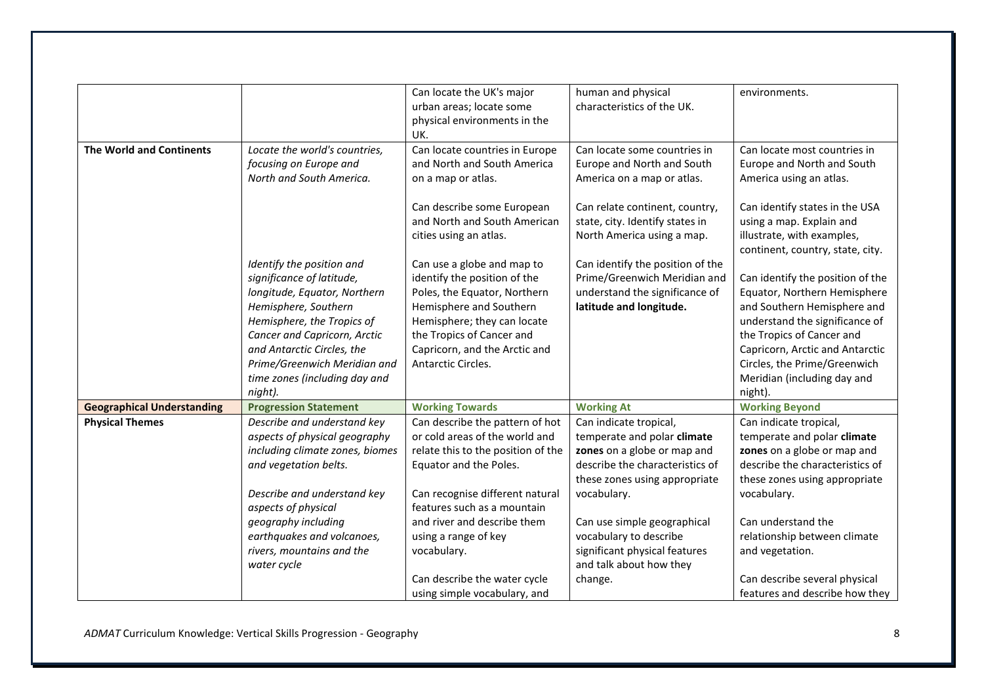|                                   |                                                                                                                                                                                                                                                                                        | Can locate the UK's major<br>urban areas; locate some<br>physical environments in the<br>UK.                                                                                                                                             | human and physical<br>characteristics of the UK.                                                                                                                                                       | environments.                                                                                                                                                                                                                                                                                                   |
|-----------------------------------|----------------------------------------------------------------------------------------------------------------------------------------------------------------------------------------------------------------------------------------------------------------------------------------|------------------------------------------------------------------------------------------------------------------------------------------------------------------------------------------------------------------------------------------|--------------------------------------------------------------------------------------------------------------------------------------------------------------------------------------------------------|-----------------------------------------------------------------------------------------------------------------------------------------------------------------------------------------------------------------------------------------------------------------------------------------------------------------|
| <b>The World and Continents</b>   | Locate the world's countries,<br>focusing on Europe and<br>North and South America.                                                                                                                                                                                                    | Can locate countries in Europe<br>and North and South America<br>on a map or atlas.<br>Can describe some European<br>and North and South American<br>cities using an atlas.                                                              | Can locate some countries in<br>Europe and North and South<br>America on a map or atlas.<br>Can relate continent, country,<br>state, city. Identify states in<br>North America using a map.            | Can locate most countries in<br>Europe and North and South<br>America using an atlas.<br>Can identify states in the USA<br>using a map. Explain and<br>illustrate, with examples,                                                                                                                               |
|                                   | Identify the position and<br>significance of latitude,<br>longitude, Equator, Northern<br>Hemisphere, Southern<br>Hemisphere, the Tropics of<br>Cancer and Capricorn, Arctic<br>and Antarctic Circles, the<br>Prime/Greenwich Meridian and<br>time zones (including day and<br>night). | Can use a globe and map to<br>identify the position of the<br>Poles, the Equator, Northern<br>Hemisphere and Southern<br>Hemisphere; they can locate<br>the Tropics of Cancer and<br>Capricorn, and the Arctic and<br>Antarctic Circles. | Can identify the position of the<br>Prime/Greenwich Meridian and<br>understand the significance of<br>latitude and longitude.                                                                          | continent, country, state, city.<br>Can identify the position of the<br>Equator, Northern Hemisphere<br>and Southern Hemisphere and<br>understand the significance of<br>the Tropics of Cancer and<br>Capricorn, Arctic and Antarctic<br>Circles, the Prime/Greenwich<br>Meridian (including day and<br>night). |
| <b>Geographical Understanding</b> | <b>Progression Statement</b>                                                                                                                                                                                                                                                           | <b>Working Towards</b>                                                                                                                                                                                                                   | <b>Working At</b>                                                                                                                                                                                      | <b>Working Beyond</b>                                                                                                                                                                                                                                                                                           |
| <b>Physical Themes</b>            | Describe and understand key<br>aspects of physical geography<br>including climate zones, biomes<br>and vegetation belts.<br>Describe and understand key<br>aspects of physical<br>geography including                                                                                  | Can describe the pattern of hot<br>or cold areas of the world and<br>relate this to the position of the<br>Equator and the Poles.<br>Can recognise different natural<br>features such as a mountain<br>and river and describe them       | Can indicate tropical,<br>temperate and polar climate<br>zones on a globe or map and<br>describe the characteristics of<br>these zones using appropriate<br>vocabulary.<br>Can use simple geographical | Can indicate tropical,<br>temperate and polar climate<br>zones on a globe or map and<br>describe the characteristics of<br>these zones using appropriate<br>vocabulary.<br>Can understand the                                                                                                                   |
|                                   | earthquakes and volcanoes,<br>rivers, mountains and the<br>water cycle                                                                                                                                                                                                                 | using a range of key<br>vocabulary.<br>Can describe the water cycle<br>using simple vocabulary, and                                                                                                                                      | vocabulary to describe<br>significant physical features<br>and talk about how they<br>change.                                                                                                          | relationship between climate<br>and vegetation.<br>Can describe several physical<br>features and describe how they                                                                                                                                                                                              |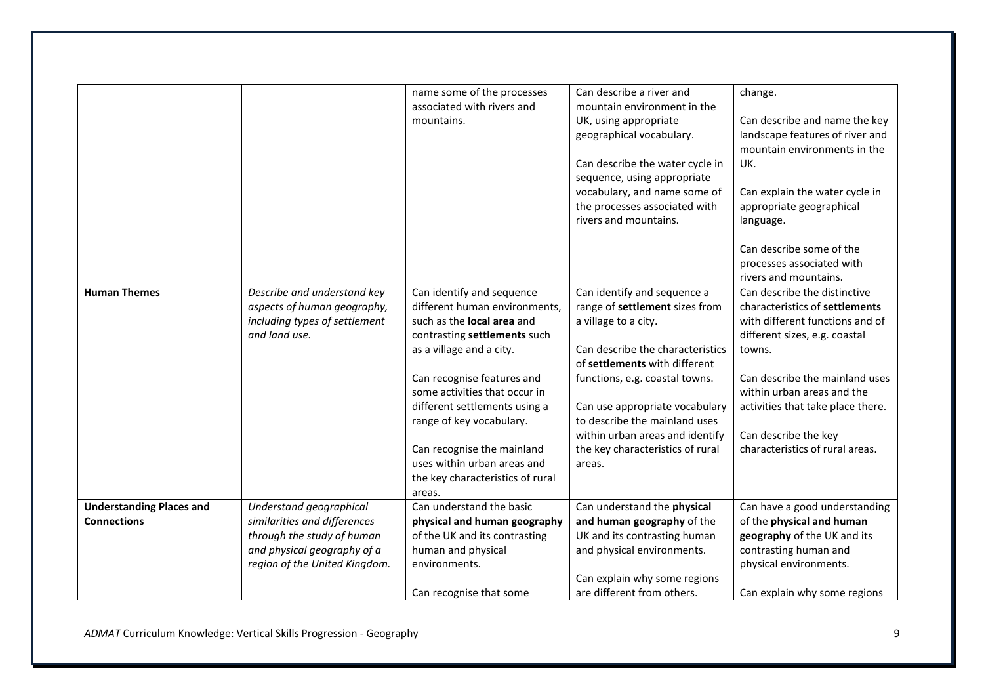|                                 |                               | name some of the processes        | Can describe a river and         | change.                           |
|---------------------------------|-------------------------------|-----------------------------------|----------------------------------|-----------------------------------|
|                                 |                               | associated with rivers and        | mountain environment in the      |                                   |
|                                 |                               | mountains.                        | UK, using appropriate            | Can describe and name the key     |
|                                 |                               |                                   | geographical vocabulary.         | landscape features of river and   |
|                                 |                               |                                   |                                  | mountain environments in the      |
|                                 |                               |                                   | Can describe the water cycle in  | UK.                               |
|                                 |                               |                                   | sequence, using appropriate      |                                   |
|                                 |                               |                                   | vocabulary, and name some of     | Can explain the water cycle in    |
|                                 |                               |                                   | the processes associated with    | appropriate geographical          |
|                                 |                               |                                   | rivers and mountains.            | language.                         |
|                                 |                               |                                   |                                  |                                   |
|                                 |                               |                                   |                                  | Can describe some of the          |
|                                 |                               |                                   |                                  | processes associated with         |
|                                 |                               |                                   |                                  | rivers and mountains.             |
| <b>Human Themes</b>             | Describe and understand key   | Can identify and sequence         | Can identify and sequence a      | Can describe the distinctive      |
|                                 | aspects of human geography,   | different human environments,     | range of settlement sizes from   | characteristics of settlements    |
|                                 | including types of settlement | such as the <b>local area</b> and | a village to a city.             | with different functions and of   |
|                                 | and land use.                 | contrasting settlements such      |                                  | different sizes, e.g. coastal     |
|                                 |                               | as a village and a city.          | Can describe the characteristics | towns.                            |
|                                 |                               |                                   | of settlements with different    |                                   |
|                                 |                               | Can recognise features and        | functions, e.g. coastal towns.   | Can describe the mainland uses    |
|                                 |                               | some activities that occur in     |                                  | within urban areas and the        |
|                                 |                               | different settlements using a     | Can use appropriate vocabulary   | activities that take place there. |
|                                 |                               | range of key vocabulary.          | to describe the mainland uses    |                                   |
|                                 |                               |                                   | within urban areas and identify  | Can describe the key              |
|                                 |                               | Can recognise the mainland        | the key characteristics of rural | characteristics of rural areas.   |
|                                 |                               | uses within urban areas and       | areas.                           |                                   |
|                                 |                               | the key characteristics of rural  |                                  |                                   |
|                                 |                               | areas.                            |                                  |                                   |
| <b>Understanding Places and</b> | Understand geographical       | Can understand the basic          | Can understand the physical      | Can have a good understanding     |
| <b>Connections</b>              | similarities and differences  | physical and human geography      | and human geography of the       | of the physical and human         |
|                                 | through the study of human    | of the UK and its contrasting     | UK and its contrasting human     | geography of the UK and its       |
|                                 | and physical geography of a   | human and physical                | and physical environments.       | contrasting human and             |
|                                 | region of the United Kingdom. | environments.                     |                                  | physical environments.            |
|                                 |                               |                                   | Can explain why some regions     |                                   |
|                                 |                               | Can recognise that some           | are different from others.       | Can explain why some regions      |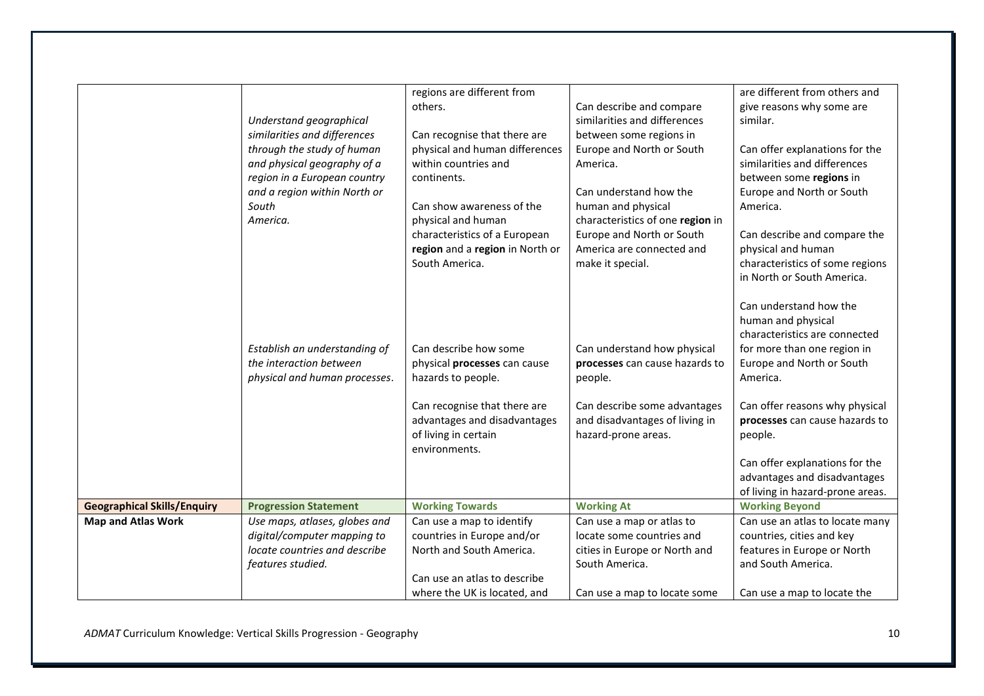|                                    |                                                             | regions are different from      |                                  | are different from others and    |
|------------------------------------|-------------------------------------------------------------|---------------------------------|----------------------------------|----------------------------------|
|                                    |                                                             | others.                         | Can describe and compare         | give reasons why some are        |
|                                    | Understand geographical                                     |                                 | similarities and differences     | similar.                         |
|                                    | similarities and differences                                | Can recognise that there are    | between some regions in          |                                  |
|                                    | through the study of human                                  | physical and human differences  | Europe and North or South        | Can offer explanations for the   |
|                                    |                                                             | within countries and            |                                  | similarities and differences     |
|                                    | and physical geography of a<br>region in a European country | continents.                     | America.                         | between some regions in          |
|                                    | and a region within North or                                |                                 | Can understand how the           |                                  |
|                                    | South                                                       | Can show awareness of the       |                                  | Europe and North or South        |
|                                    | America.                                                    |                                 | human and physical               | America.                         |
|                                    |                                                             | physical and human              | characteristics of one region in |                                  |
|                                    |                                                             | characteristics of a European   | Europe and North or South        | Can describe and compare the     |
|                                    |                                                             | region and a region in North or | America are connected and        | physical and human               |
|                                    |                                                             | South America.                  | make it special.                 | characteristics of some regions  |
|                                    |                                                             |                                 |                                  | in North or South America.       |
|                                    |                                                             |                                 |                                  | Can understand how the           |
|                                    |                                                             |                                 |                                  | human and physical               |
|                                    |                                                             |                                 |                                  | characteristics are connected    |
|                                    | Establish an understanding of                               | Can describe how some           | Can understand how physical      | for more than one region in      |
|                                    | the interaction between                                     | physical processes can cause    | processes can cause hazards to   | Europe and North or South        |
|                                    | physical and human processes.                               | hazards to people.              | people.                          | America.                         |
|                                    |                                                             |                                 |                                  |                                  |
|                                    |                                                             | Can recognise that there are    | Can describe some advantages     | Can offer reasons why physical   |
|                                    |                                                             | advantages and disadvantages    | and disadvantages of living in   | processes can cause hazards to   |
|                                    |                                                             | of living in certain            | hazard-prone areas.              | people.                          |
|                                    |                                                             | environments.                   |                                  |                                  |
|                                    |                                                             |                                 |                                  | Can offer explanations for the   |
|                                    |                                                             |                                 |                                  | advantages and disadvantages     |
|                                    |                                                             |                                 |                                  | of living in hazard-prone areas. |
| <b>Geographical Skills/Enquiry</b> | <b>Progression Statement</b>                                | <b>Working Towards</b>          | <b>Working At</b>                | <b>Working Beyond</b>            |
| <b>Map and Atlas Work</b>          | Use maps, atlases, globes and                               | Can use a map to identify       | Can use a map or atlas to        | Can use an atlas to locate many  |
|                                    | digital/computer mapping to                                 | countries in Europe and/or      | locate some countries and        | countries, cities and key        |
|                                    | locate countries and describe                               | North and South America.        | cities in Europe or North and    | features in Europe or North      |
|                                    | features studied.                                           |                                 | South America.                   | and South America.               |
|                                    |                                                             | Can use an atlas to describe    |                                  |                                  |
|                                    |                                                             | where the UK is located, and    | Can use a map to locate some     | Can use a map to locate the      |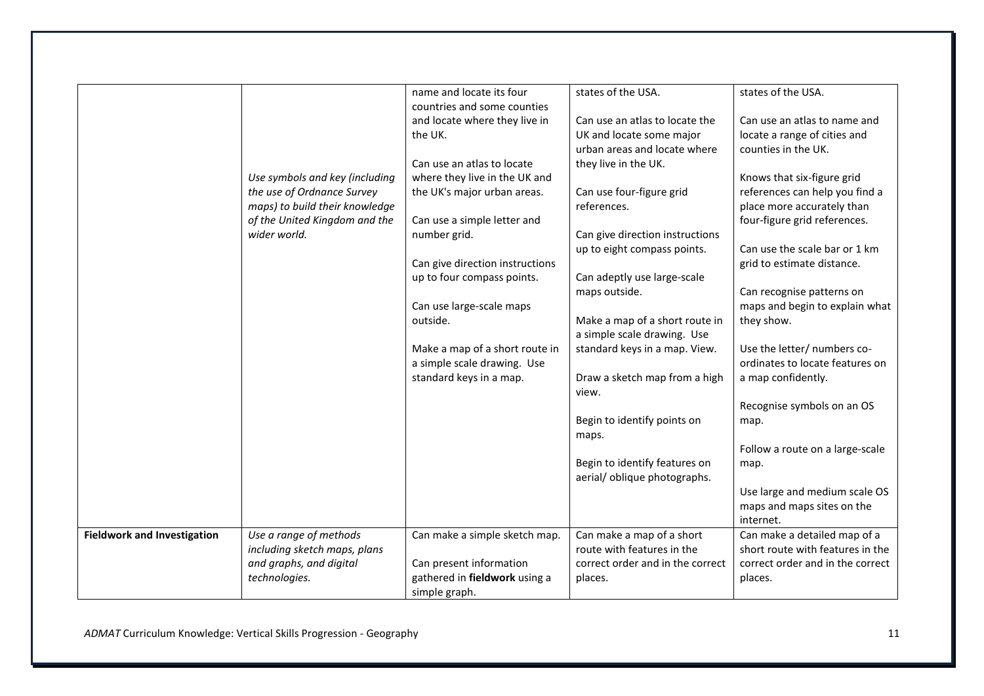|                                    |                                | name and locate its four        | states of the USA.                                            | states of the USA.                        |
|------------------------------------|--------------------------------|---------------------------------|---------------------------------------------------------------|-------------------------------------------|
|                                    |                                | countries and some counties     |                                                               |                                           |
|                                    |                                | and locate where they live in   | Can use an atlas to locate the                                | Can use an atlas to name and              |
|                                    |                                | the UK.                         | UK and locate some major                                      | locate a range of cities and              |
|                                    |                                |                                 | urban areas and locate where                                  | counties in the UK.                       |
|                                    |                                | Can use an atlas to locate      | they live in the UK.                                          |                                           |
|                                    | Use symbols and key (including | where they live in the UK and   |                                                               | Knows that six-figure grid                |
|                                    | the use of Ordnance Survey     | the UK's major urban areas.     | Can use four-figure grid                                      | references can help you find a            |
|                                    | maps) to build their knowledge |                                 | references.                                                   | place more accurately than                |
|                                    | of the United Kingdom and the  | Can use a simple letter and     |                                                               | four-figure grid references.              |
|                                    | wider world.                   | number grid.                    | Can give direction instructions                               |                                           |
|                                    |                                |                                 | up to eight compass points.                                   | Can use the scale bar or 1 km             |
|                                    |                                | Can give direction instructions |                                                               | grid to estimate distance.                |
|                                    |                                | up to four compass points.      | Can adeptly use large-scale                                   |                                           |
|                                    |                                |                                 | maps outside.                                                 | Can recognise patterns on                 |
|                                    |                                | Can use large-scale maps        |                                                               | maps and begin to explain what            |
|                                    |                                | outside.                        | Make a map of a short route in                                | they show.                                |
|                                    |                                |                                 | a simple scale drawing. Use                                   |                                           |
|                                    |                                | Make a map of a short route in  | standard keys in a map. View.                                 | Use the letter/ numbers co-               |
|                                    |                                | a simple scale drawing. Use     |                                                               | ordinates to locate features on           |
|                                    |                                | standard keys in a map.         | Draw a sketch map from a high                                 | a map confidently.                        |
|                                    |                                |                                 | view.                                                         |                                           |
|                                    |                                |                                 |                                                               | Recognise symbols on an OS                |
|                                    |                                |                                 | Begin to identify points on                                   | map.                                      |
|                                    |                                |                                 |                                                               |                                           |
|                                    |                                |                                 | maps.                                                         | Follow a route on a large-scale           |
|                                    |                                |                                 |                                                               |                                           |
|                                    |                                |                                 | Begin to identify features on<br>aerial/ oblique photographs. | map.                                      |
|                                    |                                |                                 |                                                               |                                           |
|                                    |                                |                                 |                                                               | Use large and medium scale OS             |
|                                    |                                |                                 |                                                               | maps and maps sites on the                |
|                                    | Use a range of methods         |                                 | Can make a map of a short                                     | internet.<br>Can make a detailed map of a |
| <b>Fieldwork and Investigation</b> | including sketch maps, plans   | Can make a simple sketch map.   | route with features in the                                    | short route with features in the          |
|                                    |                                |                                 |                                                               |                                           |
|                                    | and graphs, and digital        | Can present information         | correct order and in the correct                              | correct order and in the correct          |
|                                    | technologies.                  | gathered in fieldwork using a   | places.                                                       | places.                                   |
|                                    |                                | simple graph.                   |                                                               |                                           |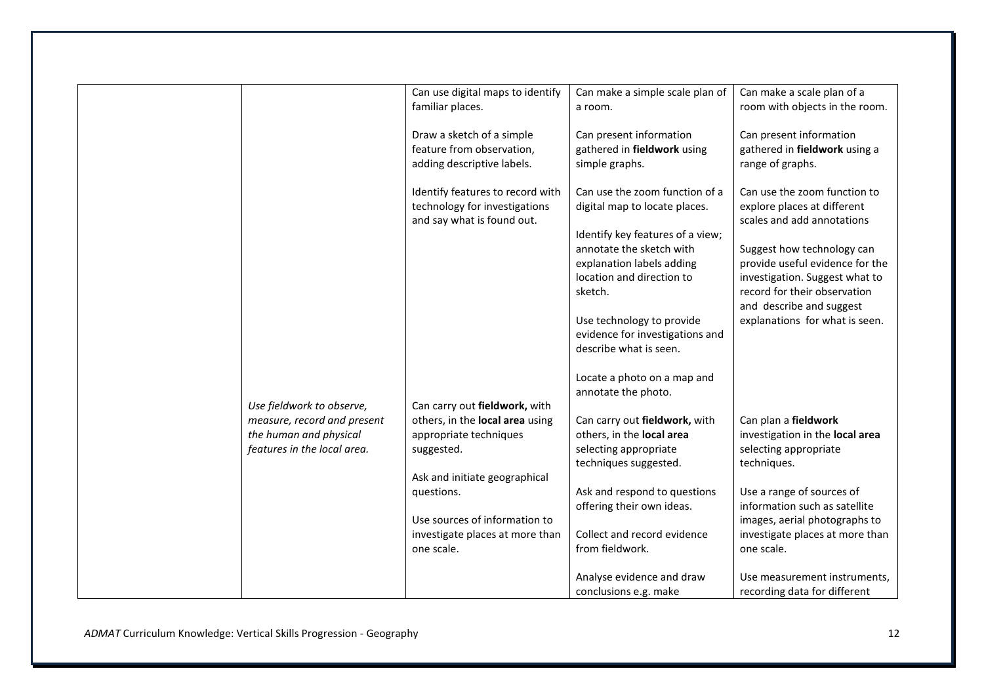|                             | Can use digital maps to identify | Can make a simple scale plan of  | Can make a scale plan of a      |
|-----------------------------|----------------------------------|----------------------------------|---------------------------------|
|                             | familiar places.                 | a room.                          | room with objects in the room.  |
|                             |                                  |                                  |                                 |
|                             | Draw a sketch of a simple        | Can present information          | Can present information         |
|                             | feature from observation,        | gathered in fieldwork using      | gathered in fieldwork using a   |
|                             | adding descriptive labels.       | simple graphs.                   | range of graphs.                |
|                             |                                  |                                  |                                 |
|                             | Identify features to record with | Can use the zoom function of a   | Can use the zoom function to    |
|                             | technology for investigations    | digital map to locate places.    | explore places at different     |
|                             | and say what is found out.       |                                  | scales and add annotations      |
|                             |                                  | Identify key features of a view; |                                 |
|                             |                                  | annotate the sketch with         | Suggest how technology can      |
|                             |                                  | explanation labels adding        | provide useful evidence for the |
|                             |                                  | location and direction to        | investigation. Suggest what to  |
|                             |                                  | sketch.                          | record for their observation    |
|                             |                                  |                                  | and describe and suggest        |
|                             |                                  | Use technology to provide        | explanations for what is seen.  |
|                             |                                  | evidence for investigations and  |                                 |
|                             |                                  | describe what is seen.           |                                 |
|                             |                                  | Locate a photo on a map and      |                                 |
|                             |                                  | annotate the photo.              |                                 |
| Use fieldwork to observe,   | Can carry out fieldwork, with    |                                  |                                 |
| measure, record and present | others, in the local area using  | Can carry out fieldwork, with    | Can plan a fieldwork            |
| the human and physical      | appropriate techniques           | others, in the local area        | investigation in the local area |
| features in the local area. | suggested.                       | selecting appropriate            | selecting appropriate           |
|                             |                                  | techniques suggested.            | techniques.                     |
|                             | Ask and initiate geographical    |                                  |                                 |
|                             | questions.                       | Ask and respond to questions     | Use a range of sources of       |
|                             |                                  | offering their own ideas.        | information such as satellite   |
|                             | Use sources of information to    |                                  | images, aerial photographs to   |
|                             | investigate places at more than  | Collect and record evidence      | investigate places at more than |
|                             | one scale.                       | from fieldwork.                  | one scale.                      |
|                             |                                  |                                  |                                 |
|                             |                                  | Analyse evidence and draw        | Use measurement instruments,    |
|                             |                                  | conclusions e.g. make            | recording data for different    |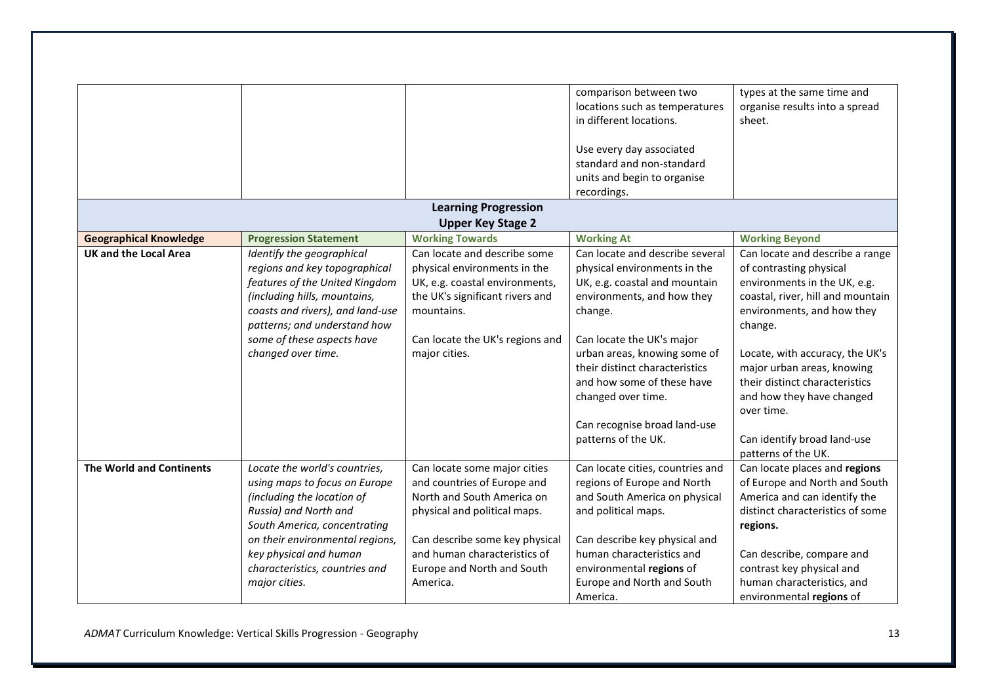|                                 |                                  |                                 | comparison between two           | types at the same time and        |
|---------------------------------|----------------------------------|---------------------------------|----------------------------------|-----------------------------------|
|                                 |                                  |                                 | locations such as temperatures   | organise results into a spread    |
|                                 |                                  |                                 | in different locations.          | sheet.                            |
|                                 |                                  |                                 |                                  |                                   |
|                                 |                                  |                                 | Use every day associated         |                                   |
|                                 |                                  |                                 | standard and non-standard        |                                   |
|                                 |                                  |                                 | units and begin to organise      |                                   |
|                                 |                                  |                                 | recordings.                      |                                   |
|                                 |                                  | <b>Learning Progression</b>     |                                  |                                   |
|                                 |                                  | <b>Upper Key Stage 2</b>        |                                  |                                   |
| <b>Geographical Knowledge</b>   | <b>Progression Statement</b>     | <b>Working Towards</b>          | <b>Working At</b>                | <b>Working Beyond</b>             |
| <b>UK and the Local Area</b>    | Identify the geographical        | Can locate and describe some    | Can locate and describe several  | Can locate and describe a range   |
|                                 | regions and key topographical    | physical environments in the    | physical environments in the     | of contrasting physical           |
|                                 | features of the United Kingdom   | UK, e.g. coastal environments,  | UK, e.g. coastal and mountain    | environments in the UK, e.g.      |
|                                 | (including hills, mountains,     | the UK's significant rivers and | environments, and how they       | coastal, river, hill and mountain |
|                                 | coasts and rivers), and land-use | mountains.                      | change.                          | environments, and how they        |
|                                 | patterns; and understand how     |                                 |                                  | change.                           |
|                                 | some of these aspects have       | Can locate the UK's regions and | Can locate the UK's major        |                                   |
|                                 | changed over time.               | major cities.                   | urban areas, knowing some of     | Locate, with accuracy, the UK's   |
|                                 |                                  |                                 | their distinct characteristics   | major urban areas, knowing        |
|                                 |                                  |                                 | and how some of these have       | their distinct characteristics    |
|                                 |                                  |                                 | changed over time.               | and how they have changed         |
|                                 |                                  |                                 |                                  | over time.                        |
|                                 |                                  |                                 | Can recognise broad land-use     |                                   |
|                                 |                                  |                                 | patterns of the UK.              | Can identify broad land-use       |
|                                 |                                  |                                 |                                  | patterns of the UK.               |
| <b>The World and Continents</b> | Locate the world's countries,    | Can locate some major cities    | Can locate cities, countries and | Can locate places and regions     |
|                                 | using maps to focus on Europe    | and countries of Europe and     | regions of Europe and North      | of Europe and North and South     |
|                                 | (including the location of       | North and South America on      | and South America on physical    | America and can identify the      |
|                                 | Russia) and North and            | physical and political maps.    | and political maps.              | distinct characteristics of some  |
|                                 | South America, concentrating     |                                 |                                  | regions.                          |
|                                 | on their environmental regions,  | Can describe some key physical  | Can describe key physical and    |                                   |
|                                 | key physical and human           | and human characteristics of    | human characteristics and        | Can describe, compare and         |
|                                 | characteristics, countries and   | Europe and North and South      | environmental regions of         | contrast key physical and         |
|                                 | major cities.                    | America.                        | Europe and North and South       | human characteristics, and        |
|                                 |                                  |                                 | America.                         | environmental regions of          |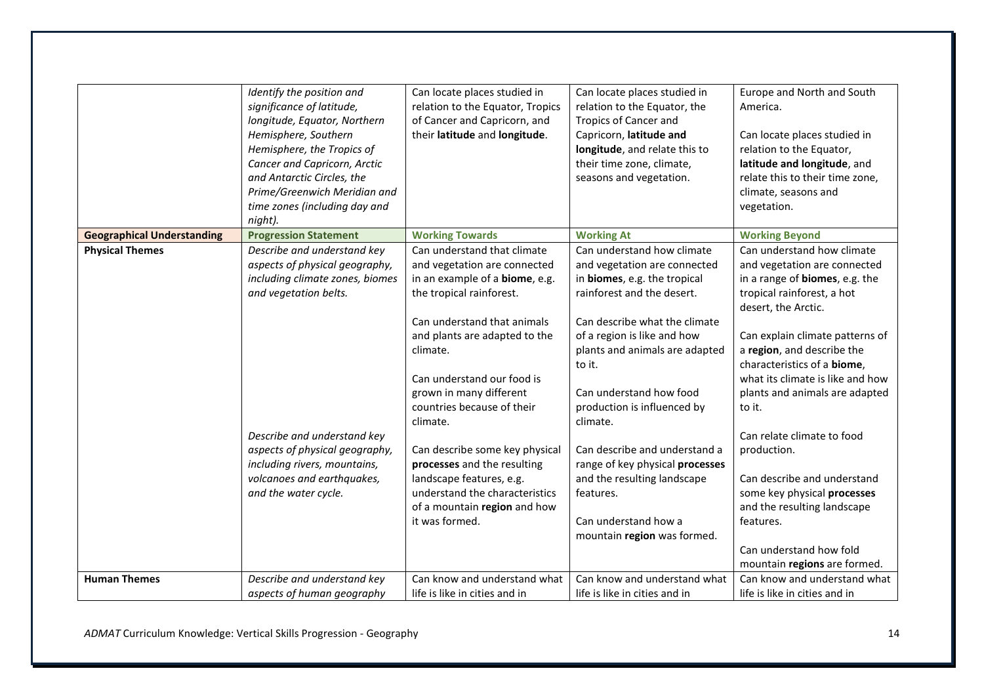|                                   | Identify the position and<br>significance of latitude,<br>longitude, Equator, Northern<br>Hemisphere, Southern<br>Hemisphere, the Tropics of<br>Cancer and Capricorn, Arctic<br>and Antarctic Circles, the<br>Prime/Greenwich Meridian and<br>time zones (including day and<br>night). | Can locate places studied in<br>relation to the Equator, Tropics<br>of Cancer and Capricorn, and<br>their latitude and longitude.                                                                                                                                                                        | Can locate places studied in<br>relation to the Equator, the<br><b>Tropics of Cancer and</b><br>Capricorn, latitude and<br>longitude, and relate this to<br>their time zone, climate,<br>seasons and vegetation.                                                                                           | Europe and North and South<br>America.<br>Can locate places studied in<br>relation to the Equator,<br>latitude and longitude, and<br>relate this to their time zone,<br>climate, seasons and<br>vegetation.                                                                                                                               |
|-----------------------------------|----------------------------------------------------------------------------------------------------------------------------------------------------------------------------------------------------------------------------------------------------------------------------------------|----------------------------------------------------------------------------------------------------------------------------------------------------------------------------------------------------------------------------------------------------------------------------------------------------------|------------------------------------------------------------------------------------------------------------------------------------------------------------------------------------------------------------------------------------------------------------------------------------------------------------|-------------------------------------------------------------------------------------------------------------------------------------------------------------------------------------------------------------------------------------------------------------------------------------------------------------------------------------------|
| <b>Geographical Understanding</b> | <b>Progression Statement</b>                                                                                                                                                                                                                                                           | <b>Working Towards</b>                                                                                                                                                                                                                                                                                   | <b>Working At</b>                                                                                                                                                                                                                                                                                          | <b>Working Beyond</b>                                                                                                                                                                                                                                                                                                                     |
| <b>Physical Themes</b>            | Describe and understand key<br>aspects of physical geography,<br>including climate zones, biomes<br>and vegetation belts.                                                                                                                                                              | Can understand that climate<br>and vegetation are connected<br>in an example of a biome, e.g.<br>the tropical rainforest.<br>Can understand that animals<br>and plants are adapted to the<br>climate.<br>Can understand our food is<br>grown in many different<br>countries because of their<br>climate. | Can understand how climate<br>and vegetation are connected<br>in biomes, e.g. the tropical<br>rainforest and the desert.<br>Can describe what the climate<br>of a region is like and how<br>plants and animals are adapted<br>to it.<br>Can understand how food<br>production is influenced by<br>climate. | Can understand how climate<br>and vegetation are connected<br>in a range of <b>biomes</b> , e.g. the<br>tropical rainforest, a hot<br>desert, the Arctic.<br>Can explain climate patterns of<br>a region, and describe the<br>characteristics of a biome,<br>what its climate is like and how<br>plants and animals are adapted<br>to it. |
|                                   | Describe and understand key<br>aspects of physical geography,<br>including rivers, mountains,<br>volcanoes and earthquakes,<br>and the water cycle.                                                                                                                                    | Can describe some key physical<br>processes and the resulting<br>landscape features, e.g.<br>understand the characteristics<br>of a mountain region and how<br>it was formed.                                                                                                                            | Can describe and understand a<br>range of key physical processes<br>and the resulting landscape<br>features.<br>Can understand how a<br>mountain region was formed.                                                                                                                                        | Can relate climate to food<br>production.<br>Can describe and understand<br>some key physical processes<br>and the resulting landscape<br>features.<br>Can understand how fold                                                                                                                                                            |
| <b>Human Themes</b>               | Describe and understand key                                                                                                                                                                                                                                                            | Can know and understand what                                                                                                                                                                                                                                                                             | Can know and understand what                                                                                                                                                                                                                                                                               | mountain regions are formed.<br>Can know and understand what                                                                                                                                                                                                                                                                              |
|                                   | aspects of human geography                                                                                                                                                                                                                                                             | life is like in cities and in                                                                                                                                                                                                                                                                            | life is like in cities and in                                                                                                                                                                                                                                                                              | life is like in cities and in                                                                                                                                                                                                                                                                                                             |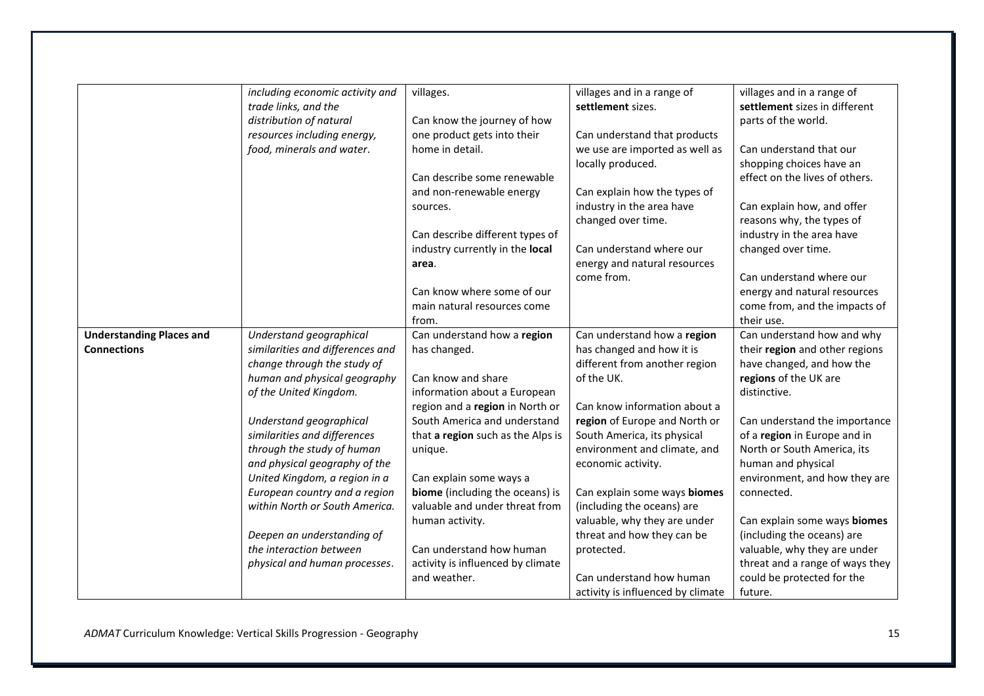|                                 | including economic activity and  | villages.                         | villages and in a range of        | villages and in a range of      |
|---------------------------------|----------------------------------|-----------------------------------|-----------------------------------|---------------------------------|
|                                 | trade links, and the             |                                   | settlement sizes.                 | settlement sizes in different   |
|                                 | distribution of natural          | Can know the journey of how       |                                   | parts of the world.             |
|                                 | resources including energy,      | one product gets into their       | Can understand that products      |                                 |
|                                 | food, minerals and water.        | home in detail.                   | we use are imported as well as    | Can understand that our         |
|                                 |                                  |                                   | locally produced.                 | shopping choices have an        |
|                                 |                                  | Can describe some renewable       |                                   | effect on the lives of others.  |
|                                 |                                  |                                   |                                   |                                 |
|                                 |                                  | and non-renewable energy          | Can explain how the types of      |                                 |
|                                 |                                  | sources.                          | industry in the area have         | Can explain how, and offer      |
|                                 |                                  |                                   | changed over time.                | reasons why, the types of       |
|                                 |                                  | Can describe different types of   |                                   | industry in the area have       |
|                                 |                                  | industry currently in the local   | Can understand where our          | changed over time.              |
|                                 |                                  | area.                             | energy and natural resources      |                                 |
|                                 |                                  |                                   | come from.                        | Can understand where our        |
|                                 |                                  | Can know where some of our        |                                   | energy and natural resources    |
|                                 |                                  | main natural resources come       |                                   | come from, and the impacts of   |
|                                 |                                  | from.                             |                                   | their use.                      |
| <b>Understanding Places and</b> | Understand geographical          | Can understand how a region       | Can understand how a region       | Can understand how and why      |
| <b>Connections</b>              | similarities and differences and | has changed.                      | has changed and how it is         | their region and other regions  |
|                                 | change through the study of      |                                   | different from another region     | have changed, and how the       |
|                                 | human and physical geography     | Can know and share                | of the UK.                        | regions of the UK are           |
|                                 | of the United Kingdom.           | information about a European      |                                   | distinctive.                    |
|                                 |                                  | region and a region in North or   | Can know information about a      |                                 |
|                                 | Understand geographical          | South America and understand      | region of Europe and North or     | Can understand the importance   |
|                                 | similarities and differences     | that a region such as the Alps is | South America, its physical       | of a region in Europe and in    |
|                                 | through the study of human       | unique.                           | environment and climate, and      | North or South America, its     |
|                                 | and physical geography of the    |                                   | economic activity.                | human and physical              |
|                                 | United Kingdom, a region in a    | Can explain some ways a           |                                   | environment, and how they are   |
|                                 | European country and a region    | biome (including the oceans) is   | Can explain some ways biomes      | connected.                      |
|                                 | within North or South America.   | valuable and under threat from    | (including the oceans) are        |                                 |
|                                 |                                  | human activity.                   | valuable, why they are under      | Can explain some ways biomes    |
|                                 | Deepen an understanding of       |                                   | threat and how they can be        | (including the oceans) are      |
|                                 | the interaction between          | Can understand how human          | protected.                        | valuable, why they are under    |
|                                 | physical and human processes.    | activity is influenced by climate |                                   | threat and a range of ways they |
|                                 |                                  | and weather.                      | Can understand how human          | could be protected for the      |
|                                 |                                  |                                   | activity is influenced by climate | future.                         |
|                                 |                                  |                                   |                                   |                                 |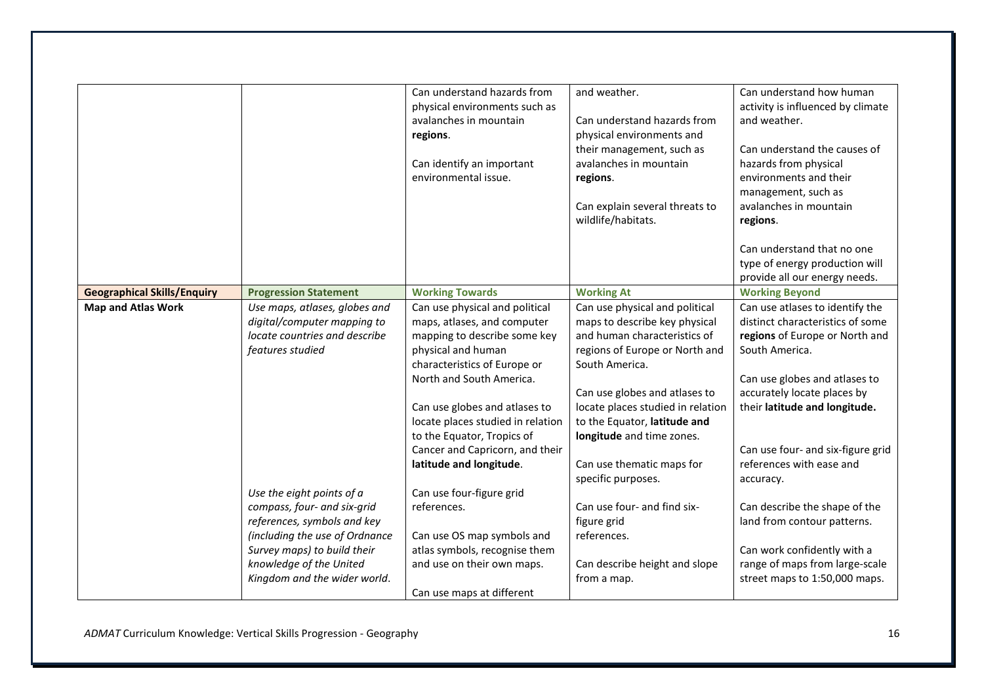|                                    |                                                                                                                                                                                                                     | Can understand hazards from<br>physical environments such as<br>avalanches in mountain<br>regions.<br>Can identify an important<br>environmental issue.                                                                                                                                                                                           | and weather.<br>Can understand hazards from<br>physical environments and<br>their management, such as<br>avalanches in mountain<br>regions.<br>Can explain several threats to<br>wildlife/habitats.                                                                                                                                       | Can understand how human<br>activity is influenced by climate<br>and weather.<br>Can understand the causes of<br>hazards from physical<br>environments and their<br>management, such as<br>avalanches in mountain<br>regions.                                                                          |
|------------------------------------|---------------------------------------------------------------------------------------------------------------------------------------------------------------------------------------------------------------------|---------------------------------------------------------------------------------------------------------------------------------------------------------------------------------------------------------------------------------------------------------------------------------------------------------------------------------------------------|-------------------------------------------------------------------------------------------------------------------------------------------------------------------------------------------------------------------------------------------------------------------------------------------------------------------------------------------|--------------------------------------------------------------------------------------------------------------------------------------------------------------------------------------------------------------------------------------------------------------------------------------------------------|
|                                    |                                                                                                                                                                                                                     |                                                                                                                                                                                                                                                                                                                                                   |                                                                                                                                                                                                                                                                                                                                           | Can understand that no one<br>type of energy production will<br>provide all our energy needs.                                                                                                                                                                                                          |
| <b>Geographical Skills/Enquiry</b> | <b>Progression Statement</b>                                                                                                                                                                                        | <b>Working Towards</b>                                                                                                                                                                                                                                                                                                                            | <b>Working At</b>                                                                                                                                                                                                                                                                                                                         | <b>Working Beyond</b>                                                                                                                                                                                                                                                                                  |
| <b>Map and Atlas Work</b>          | Use maps, atlases, globes and<br>digital/computer mapping to<br>locate countries and describe<br>features studied                                                                                                   | Can use physical and political<br>maps, atlases, and computer<br>mapping to describe some key<br>physical and human<br>characteristics of Europe or<br>North and South America.<br>Can use globes and atlases to<br>locate places studied in relation<br>to the Equator, Tropics of<br>Cancer and Capricorn, and their<br>latitude and longitude. | Can use physical and political<br>maps to describe key physical<br>and human characteristics of<br>regions of Europe or North and<br>South America.<br>Can use globes and atlases to<br>locate places studied in relation<br>to the Equator, latitude and<br>longitude and time zones.<br>Can use thematic maps for<br>specific purposes. | Can use atlases to identify the<br>distinct characteristics of some<br>regions of Europe or North and<br>South America.<br>Can use globes and atlases to<br>accurately locate places by<br>their latitude and longitude.<br>Can use four- and six-figure grid<br>references with ease and<br>accuracy. |
|                                    | Use the eight points of a<br>compass, four- and six-grid<br>references, symbols and key<br>(including the use of Ordnance<br>Survey maps) to build their<br>knowledge of the United<br>Kingdom and the wider world. | Can use four-figure grid<br>references.<br>Can use OS map symbols and<br>atlas symbols, recognise them<br>and use on their own maps.<br>Can use maps at different                                                                                                                                                                                 | Can use four- and find six-<br>figure grid<br>references.<br>Can describe height and slope<br>from a map.                                                                                                                                                                                                                                 | Can describe the shape of the<br>land from contour patterns.<br>Can work confidently with a<br>range of maps from large-scale<br>street maps to 1:50,000 maps.                                                                                                                                         |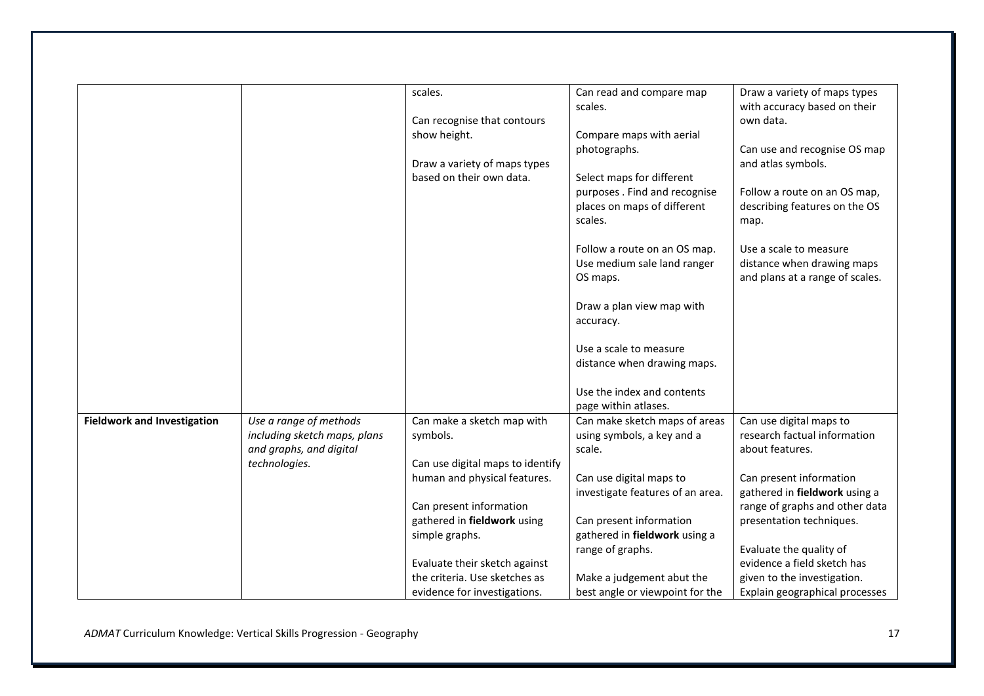|                                    |                              | scales.                          | Can read and compare map         | Draw a variety of maps types    |
|------------------------------------|------------------------------|----------------------------------|----------------------------------|---------------------------------|
|                                    |                              |                                  | scales.                          | with accuracy based on their    |
|                                    |                              | Can recognise that contours      |                                  | own data.                       |
|                                    |                              | show height.                     | Compare maps with aerial         |                                 |
|                                    |                              |                                  | photographs.                     | Can use and recognise OS map    |
|                                    |                              | Draw a variety of maps types     |                                  | and atlas symbols.              |
|                                    |                              | based on their own data.         | Select maps for different        |                                 |
|                                    |                              |                                  | purposes. Find and recognise     | Follow a route on an OS map,    |
|                                    |                              |                                  | places on maps of different      | describing features on the OS   |
|                                    |                              |                                  | scales.                          | map.                            |
|                                    |                              |                                  | Follow a route on an OS map.     | Use a scale to measure          |
|                                    |                              |                                  | Use medium sale land ranger      | distance when drawing maps      |
|                                    |                              |                                  | OS maps.                         | and plans at a range of scales. |
|                                    |                              |                                  | Draw a plan view map with        |                                 |
|                                    |                              |                                  | accuracy.                        |                                 |
|                                    |                              |                                  | Use a scale to measure           |                                 |
|                                    |                              |                                  | distance when drawing maps.      |                                 |
|                                    |                              |                                  | Use the index and contents       |                                 |
|                                    |                              |                                  | page within atlases.             |                                 |
| <b>Fieldwork and Investigation</b> | Use a range of methods       | Can make a sketch map with       | Can make sketch maps of areas    | Can use digital maps to         |
|                                    | including sketch maps, plans | symbols.                         | using symbols, a key and a       | research factual information    |
|                                    | and graphs, and digital      |                                  | scale.                           | about features.                 |
|                                    | technologies.                | Can use digital maps to identify |                                  |                                 |
|                                    |                              | human and physical features.     | Can use digital maps to          | Can present information         |
|                                    |                              |                                  | investigate features of an area. | gathered in fieldwork using a   |
|                                    |                              | Can present information          |                                  | range of graphs and other data  |
|                                    |                              | gathered in fieldwork using      | Can present information          | presentation techniques.        |
|                                    |                              | simple graphs.                   | gathered in fieldwork using a    |                                 |
|                                    |                              |                                  | range of graphs.                 | Evaluate the quality of         |
|                                    |                              | Evaluate their sketch against    |                                  | evidence a field sketch has     |
|                                    |                              | the criteria. Use sketches as    | Make a judgement abut the        | given to the investigation.     |
|                                    |                              | evidence for investigations.     | best angle or viewpoint for the  | Explain geographical processes  |